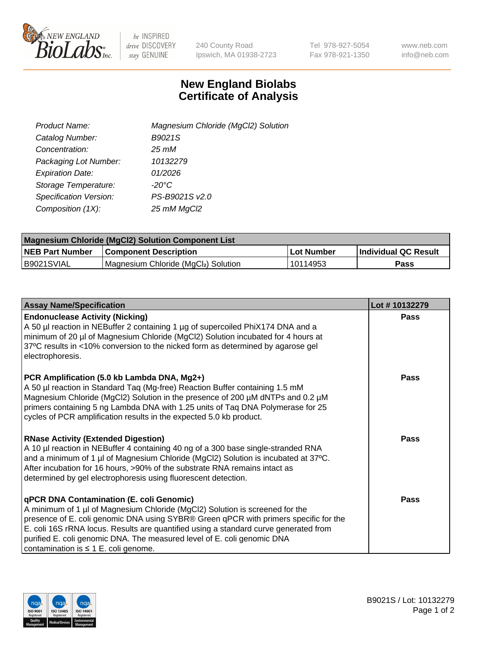

 $be$  INSPIRED drive DISCOVERY stay GENUINE

240 County Road Ipswich, MA 01938-2723 Tel 978-927-5054 Fax 978-921-1350 www.neb.com info@neb.com

## **New England Biolabs Certificate of Analysis**

| Product Name:           | Magnesium Chloride (MgCl2) Solution |
|-------------------------|-------------------------------------|
| Catalog Number:         | B9021S                              |
| Concentration:          | $25 \, \text{m}$ M                  |
| Packaging Lot Number:   | 10132279                            |
| <b>Expiration Date:</b> | 01/2026                             |
| Storage Temperature:    | $-20^{\circ}$ C                     |
| Specification Version:  | PS-B9021S v2.0                      |
| Composition (1X):       | 25 mM MgCl2                         |

| <b>Magnesium Chloride (MgCl2) Solution Component List</b> |                                     |            |                             |  |  |
|-----------------------------------------------------------|-------------------------------------|------------|-----------------------------|--|--|
| <b>NEB Part Number</b>                                    | <b>Component Description</b>        | Lot Number | <b>Individual QC Result</b> |  |  |
| B9021SVIAL                                                | Magnesium Chloride (MgCl2) Solution | 10114953   | Pass                        |  |  |

| <b>Assay Name/Specification</b>                                                                                                                                                                                                                                                                                                                                                                                                         | Lot #10132279 |
|-----------------------------------------------------------------------------------------------------------------------------------------------------------------------------------------------------------------------------------------------------------------------------------------------------------------------------------------------------------------------------------------------------------------------------------------|---------------|
| <b>Endonuclease Activity (Nicking)</b><br>A 50 µl reaction in NEBuffer 2 containing 1 µg of supercoiled PhiX174 DNA and a<br>minimum of 20 µl of Magnesium Chloride (MgCl2) Solution incubated for 4 hours at<br>37°C results in <10% conversion to the nicked form as determined by agarose gel<br>electrophoresis.                                                                                                                    | Pass          |
| PCR Amplification (5.0 kb Lambda DNA, Mg2+)<br>A 50 µl reaction in Standard Taq (Mg-free) Reaction Buffer containing 1.5 mM<br>Magnesium Chloride (MgCl2) Solution in the presence of 200 μM dNTPs and 0.2 μM<br>primers containing 5 ng Lambda DNA with 1.25 units of Tag DNA Polymerase for 25<br>cycles of PCR amplification results in the expected 5.0 kb product.                                                                 | Pass          |
| <b>RNase Activity (Extended Digestion)</b><br>A 10 µl reaction in NEBuffer 4 containing 40 ng of a 300 base single-stranded RNA<br>and a minimum of 1 µl of Magnesium Chloride (MgCl2) Solution is incubated at 37°C.<br>After incubation for 16 hours, >90% of the substrate RNA remains intact as<br>determined by gel electrophoresis using fluorescent detection.                                                                   | Pass          |
| <b>qPCR DNA Contamination (E. coli Genomic)</b><br>A minimum of 1 µl of Magnesium Chloride (MgCl2) Solution is screened for the<br>presence of E. coli genomic DNA using SYBR® Green qPCR with primers specific for the<br>E. coli 16S rRNA locus. Results are quantified using a standard curve generated from<br>purified E. coli genomic DNA. The measured level of E. coli genomic DNA<br>contamination is $\leq 1$ E. coli genome. | Pass          |